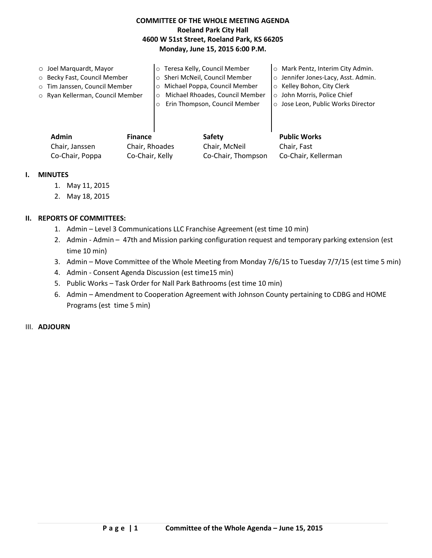# **COMMITTEE OF THE WHOLE MEETING AGENDA Roeland Park City Hall 4600 W 51st Street, Roeland Park, KS 66205 Monday, June 15, 2015 6:00 P.M.**

| $\circ$ Joel Marguardt, Mayor    |         | ○ Teresa Kelly, Council Member  | <b>O</b> Mark Pentz, Interim City Admin. |
|----------------------------------|---------|---------------------------------|------------------------------------------|
| ○ Becky Fast, Council Member     |         | o Sheri McNeil, Council Member  | o Jennifer Jones-Lacy, Asst. Admin.      |
| o Tim Janssen, Council Member    | $\circ$ | Michael Poppa, Council Member   | ○ Kelley Bohon, City Clerk               |
| o Ryan Kellerman, Council Member | $\circ$ | Michael Rhoades, Council Member | o John Morris, Police Chief              |
|                                  |         | Erin Thompson, Council Member   | o Jose Leon, Public Works Director       |
|                                  |         |                                 |                                          |
|                                  |         |                                 |                                          |
|                                  |         |                                 |                                          |

| <b>Admin</b>    | <b>Finance</b>  | Safety             | <b>Public Works</b> |
|-----------------|-----------------|--------------------|---------------------|
| Chair, Janssen  | Chair, Rhoades  | Chair, McNeil      | Chair, Fast         |
| Co-Chair, Poppa | Co-Chair, Kelly | Co-Chair, Thompson | Co-Chair, Kellerman |

## **I. MINUTES**

- 1. May 11, 2015
- 2. May 18, 2015

## **II. REPORTS OF COMMITTEES:**

- 1. Admin Level 3 Communications LLC Franchise Agreement (est time 10 min)
- 2. Admin Admin 47th and Mission parking configuration request and temporary parking extension (est time 10 min)
- 3. Admin Move Committee of the Whole Meeting from Monday 7/6/15 to Tuesday 7/7/15 (est time 5 min)
- 4. Admin Consent Agenda Discussion (est time15 min)
- 5. Public Works Task Order for Nall Park Bathrooms (est time 10 min)
- 6. Admin Amendment to Cooperation Agreement with Johnson County pertaining to CDBG and HOME Programs (est time 5 min)

## III. **ADJOURN**